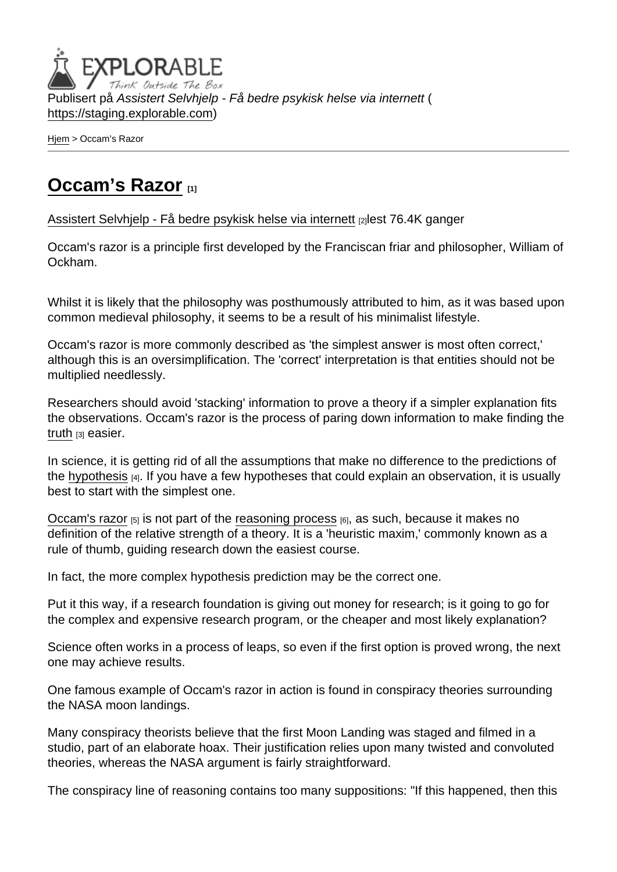Publisert på Assistert Selvhjelp - Få bedre psykisk helse via internett ( <https://staging.explorable.com>)

[Hjem](https://staging.explorable.com/) > Occam's Razor

## [Occam's Razor](https://staging.explorable.com/occams-razor) [1]

[Assistert Selvhjelp - Få bedre psykisk helse via internett](https://staging.explorable.com/en) [2]lest 76.4K ganger

Occam's razor is a principle first developed by the Franciscan friar and philosopher, William of Ockham.

Whilst it is likely that the philosophy was posthumously attributed to him, as it was based upon common medieval philosophy, it seems to be a result of his minimalist lifestyle.

Occam's razor is more commonly described as 'the simplest answer is most often correct,' although this is an oversimplification. The 'correct' interpretation is that entities should not be multiplied needlessly.

Researchers should avoid 'stacking' information to prove a theory if a simpler explanation fits the observations. Occam's razor is the process of paring down information to make finding the [truth](https://staging.explorable.com/truth-and-theory) [3] easier.

In science, it is getting rid of all the assumptions that make no difference to the predictions of the [hypothesis](https://staging.explorable.com/research-hypothesis)  $[4]$ . If you have a few hypotheses that could explain an observation, it is usually best to start with the simplest one.

[Occam's razor](http://en.wikipedia.org/wiki/Occam)  $[5]$  is not part of the [reasoning process](https://staging.explorable.com/scientific-reasoning)  $[6]$ , as such, because it makes no definition of the relative strength of a theory. It is a 'heuristic maxim,' commonly known as a rule of thumb, guiding research down the easiest course.

In fact, the more complex hypothesis prediction may be the correct one.

Put it this way, if a research foundation is giving out money for research; is it going to go for the complex and expensive research program, or the cheaper and most likely explanation?

Science often works in a process of leaps, so even if the first option is proved wrong, the next one may achieve results.

One famous example of Occam's razor in action is found in conspiracy theories surrounding the NASA moon landings.

Many conspiracy theorists believe that the first Moon Landing was staged and filmed in a studio, part of an elaborate hoax. Their justification relies upon many twisted and convoluted theories, whereas the NASA argument is fairly straightforward.

The conspiracy line of reasoning contains too many suppositions: "If this happened, then this